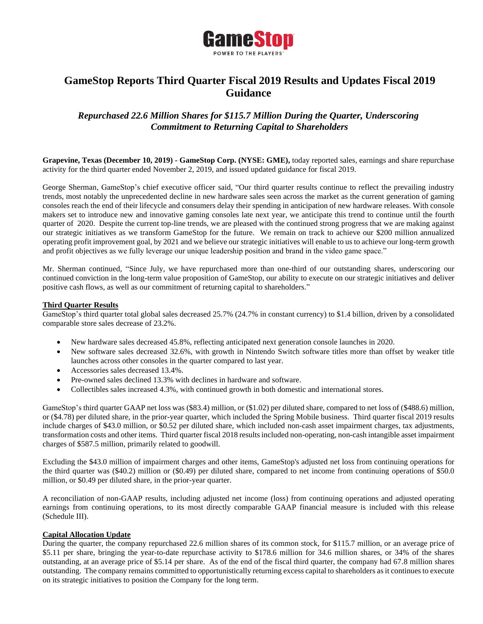

# **GameStop Reports Third Quarter Fiscal 2019 Results and Updates Fiscal 2019 Guidance**

## *Repurchased 22.6 Million Shares for \$115.7 Million During the Quarter, Underscoring Commitment to Returning Capital to Shareholders*

**Grapevine, Texas (December 10, 2019) - GameStop Corp. (NYSE: GME),** today reported sales, earnings and share repurchase activity for the third quarter ended November 2, 2019, and issued updated guidance for fiscal 2019.

George Sherman, GameStop's chief executive officer said, "Our third quarter results continue to reflect the prevailing industry trends, most notably the unprecedented decline in new hardware sales seen across the market as the current generation of gaming consoles reach the end of their lifecycle and consumers delay their spending in anticipation of new hardware releases. With console makers set to introduce new and innovative gaming consoles late next year, we anticipate this trend to continue until the fourth quarter of 2020. Despite the current top-line trends, we are pleased with the continued strong progress that we are making against our strategic initiatives as we transform GameStop for the future. We remain on track to achieve our \$200 million annualized operating profit improvement goal, by 2021 and we believe our strategic initiatives will enable to us to achieve our long-term growth and profit objectives as we fully leverage our unique leadership position and brand in the video game space."

Mr. Sherman continued, "Since July, we have repurchased more than one-third of our outstanding shares, underscoring our continued conviction in the long-term value proposition of GameStop, our ability to execute on our strategic initiatives and deliver positive cash flows, as well as our commitment of returning capital to shareholders."

#### **Third Quarter Results**

GameStop's third quarter total global sales decreased 25.7% (24.7% in constant currency) to \$1.4 billion, driven by a consolidated comparable store sales decrease of 23.2%.

- New hardware sales decreased 45.8%, reflecting anticipated next generation console launches in 2020.
- New software sales decreased 32.6%, with growth in Nintendo Switch software titles more than offset by weaker title launches across other consoles in the quarter compared to last year.
- Accessories sales decreased 13.4%.
- Pre-owned sales declined 13.3% with declines in hardware and software.
- Collectibles sales increased 4.3%, with continued growth in both domestic and international stores.

GameStop's third quarter GAAP net loss was (\$83.4) million, or (\$1.02) per diluted share, compared to net loss of (\$488.6) million, or (\$4.78) per diluted share, in the prior-year quarter, which included the Spring Mobile business. Third quarter fiscal 2019 results include charges of \$43.0 million, or \$0.52 per diluted share, which included non-cash asset impairment charges, tax adjustments, transformation costs and other items. Third quarter fiscal 2018 results included non-operating, non-cash intangible asset impairment charges of \$587.5 million, primarily related to goodwill.

Excluding the \$43.0 million of impairment charges and other items, GameStop's adjusted net loss from continuing operations for the third quarter was (\$40.2) million or (\$0.49) per diluted share, compared to net income from continuing operations of \$50.0 million, or \$0.49 per diluted share, in the prior-year quarter.

A reconciliation of non-GAAP results, including adjusted net income (loss) from continuing operations and adjusted operating earnings from continuing operations, to its most directly comparable GAAP financial measure is included with this release (Schedule III).

### **Capital Allocation Update**

During the quarter, the company repurchased 22.6 million shares of its common stock, for \$115.7 million, or an average price of \$5.11 per share, bringing the year-to-date repurchase activity to \$178.6 million for 34.6 million shares, or 34% of the shares outstanding, at an average price of \$5.14 per share. As of the end of the fiscal third quarter, the company had 67.8 million shares outstanding. The company remains committed to opportunistically returning excess capital to shareholders as it continues to execute on its strategic initiatives to position the Company for the long term.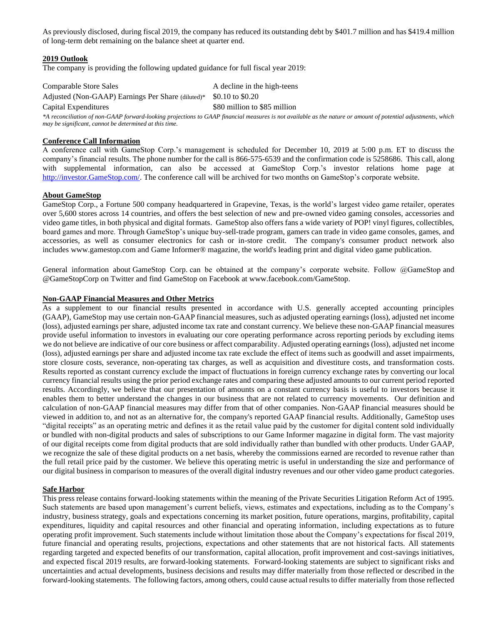As previously disclosed, during fiscal 2019, the company has reduced its outstanding debt by \$401.7 million and has \$419.4 million of long-term debt remaining on the balance sheet at quarter end.

#### **2019 Outlook**

The company is providing the following updated guidance for full fiscal year 2019:

Comparable Store Sales A decline in the high-teens Adjusted (Non-GAAP) Earnings Per Share (diluted)\* \$0.10 to \$0.20 Capital Expenditures \$80 million to \$85 million *\*A reconciliation of non-GAAP forward-looking projections to GAAP financial measures is not available as the nature or amount of potential adjustments, which* 

*may be significant, cannot be determined at this time.*

#### **Conference Call Information**

A conference call with GameStop Corp.'s management is scheduled for December 10, 2019 at 5:00 p.m. ET to discuss the company's financial results. The phone number for the call is 866-575-6539 and the confirmation code is 5258686. This call, along with supplemental information, can also be accessed at GameStop Corp.'s investor relations home page at [http://investor.GameStop.com/.](http://investor.gamestop.com/) The conference call will be archived for two months on GameStop's corporate website.

#### **About GameStop**

GameStop Corp., a Fortune 500 company headquartered in Grapevine, Texas, is the world's largest video game retailer, operates over 5,600 stores across 14 countries, and offers the best selection of new and pre-owned video gaming consoles, accessories and video game titles, in both physical and digital formats. GameStop also offers fans a wide variety of POP! vinyl figures, collectibles, board games and more. Through GameStop's unique buy-sell-trade program, gamers can trade in video game consoles, games, and accessories, as well as consumer electronics for cash or in-store credit. The company's consumer product network also includes [www.gamestop.com](http://www.gamestop.com/) and Game Informer® magazine, the world's leading print and digital video game publication.

General information about GameStop Corp. can be obtained at the company's corporate website. Follow @GameStop and @GameStopCorp on Twitter and find GameStop on Facebook at [www.facebook.com/GameStop.](https://www.globenewswire.com/Tracker?data=9MjFkmynkMcHDHUiNqBCDWNwmNU0vxHlKL9Gky-ULouE3aao_1NElGleXUewofg8suYTDN-H4enTvSBZisPs8KqEx8ufX5f_UTZPKswkmGw=)

#### **Non-GAAP Financial Measures and Other Metrics**

As a supplement to our financial results presented in accordance with U.S. generally accepted accounting principles (GAAP), GameStop may use certain non-GAAP financial measures, such as adjusted operating earnings (loss), adjusted net income (loss), adjusted earnings per share, adjusted income tax rate and constant currency. We believe these non-GAAP financial measures provide useful information to investors in evaluating our core operating performance across reporting periods by excluding items we do not believe are indicative of our core business or affect comparability. Adjusted operating earnings (loss), adjusted net income (loss), adjusted earnings per share and adjusted income tax rate exclude the effect of items such as goodwill and asset impairments, store closure costs, severance, non-operating tax charges, as well as acquisition and divestiture costs, and transformation costs. Results reported as constant currency exclude the impact of fluctuations in foreign currency exchange rates by converting our local currency financial results using the prior period exchange rates and comparing these adjusted amounts to our current period reported results. Accordingly, we believe that our presentation of amounts on a constant currency basis is useful to investors because it enables them to better understand the changes in our business that are not related to currency movements. Our definition and calculation of non-GAAP financial measures may differ from that of other companies. Non-GAAP financial measures should be viewed in addition to, and not as an alternative for, the company's reported GAAP financial results. Additionally, GameStop uses "digital receipts" as an operating metric and defines it as the retail value paid by the customer for digital content sold individually or bundled with non-digital products and sales of subscriptions to our Game Informer magazine in digital form. The vast majority of our digital receipts come from digital products that are sold individually rather than bundled with other products. Under GAAP, we recognize the sale of these digital products on a net basis, whereby the commissions earned are recorded to revenue rather than the full retail price paid by the customer. We believe this operating metric is useful in understanding the size and performance of our digital business in comparison to measures of the overall digital industry revenues and our other video game product categories.

#### **Safe Harbor**

This press release contains forward-looking statements within the meaning of the Private Securities Litigation Reform Act of 1995. Such statements are based upon management's current beliefs, views, estimates and expectations, including as to the Company's industry, business strategy, goals and expectations concerning its market position, future operations, margins, profitability, capital expenditures, liquidity and capital resources and other financial and operating information, including expectations as to future operating profit improvement. Such statements include without limitation those about the Company's expectations for fiscal 2019, future financial and operating results, projections, expectations and other statements that are not historical facts. All statements regarding targeted and expected benefits of our transformation, capital allocation, profit improvement and cost-savings initiatives, and expected fiscal 2019 results, are forward-looking statements. Forward-looking statements are subject to significant risks and uncertainties and actual developments, business decisions and results may differ materially from those reflected or described in the forward-looking statements. The following factors, among others, could cause actual results to differ materially from those reflected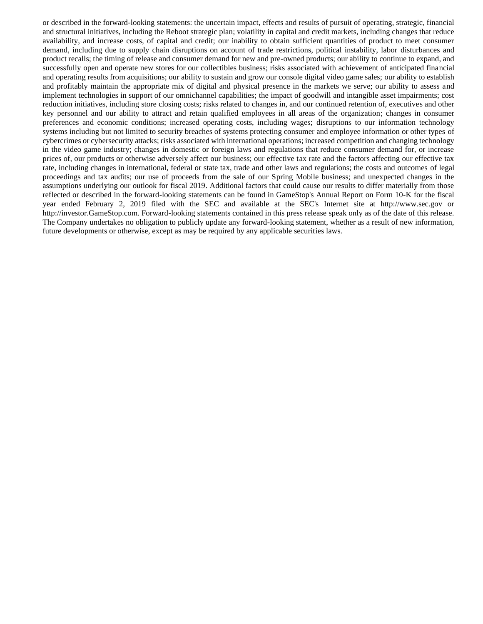or described in the forward-looking statements: the uncertain impact, effects and results of pursuit of operating, strategic, financial and structural initiatives, including the Reboot strategic plan; volatility in capital and credit markets, including changes that reduce availability, and increase costs, of capital and credit; our inability to obtain sufficient quantities of product to meet consumer demand, including due to supply chain disruptions on account of trade restrictions, political instability, labor disturbances and product recalls; the timing of release and consumer demand for new and pre-owned products; our ability to continue to expand, and successfully open and operate new stores for our collectibles business; risks associated with achievement of anticipated financial and operating results from acquisitions; our ability to sustain and grow our console digital video game sales; our ability to establish and profitably maintain the appropriate mix of digital and physical presence in the markets we serve; our ability to assess and implement technologies in support of our omnichannel capabilities; the impact of goodwill and intangible asset impairments; cost reduction initiatives, including store closing costs; risks related to changes in, and our continued retention of, executives and other key personnel and our ability to attract and retain qualified employees in all areas of the organization; changes in consumer preferences and economic conditions; increased operating costs, including wages; disruptions to our information technology systems including but not limited to security breaches of systems protecting consumer and employee information or other types of cybercrimes or cybersecurity attacks; risks associated with international operations; increased competition and changing technology in the video game industry; changes in domestic or foreign laws and regulations that reduce consumer demand for, or increase prices of, our products or otherwise adversely affect our business; our effective tax rate and the factors affecting our effective tax rate, including changes in international, federal or state tax, trade and other laws and regulations; the costs and outcomes of legal proceedings and tax audits; our use of proceeds from the sale of our Spring Mobile business; and unexpected changes in the assumptions underlying our outlook for fiscal 2019. Additional factors that could cause our results to differ materially from those reflected or described in the forward-looking statements can be found in GameStop's Annual Report on Form 10-K for the fiscal year ended February 2, 2019 filed with the SEC and available at the SEC's Internet site at http://www.sec.gov or http://investor.GameStop.com. Forward-looking statements contained in this press release speak only as of the date of this release. The Company undertakes no obligation to publicly update any forward-looking statement, whether as a result of new information, future developments or otherwise, except as may be required by any applicable securities laws.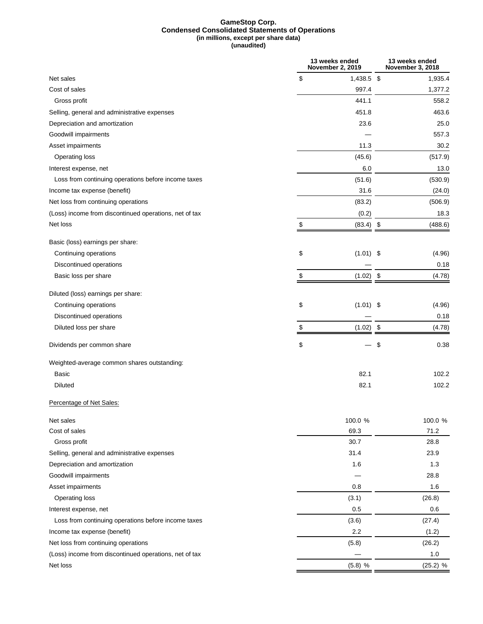#### **GameStop Corp. Condensed Consolidated Statements of Operations (in millions, except per share data) (unaudited)**

|                                                        | 13 weeks ended<br><b>November 2, 2019</b> |             |    | 13 weeks ended<br>November 3, 2018 |  |  |
|--------------------------------------------------------|-------------------------------------------|-------------|----|------------------------------------|--|--|
| Net sales                                              | \$                                        | 1,438.5 \$  |    | 1,935.4                            |  |  |
| Cost of sales                                          |                                           | 997.4       |    | 1,377.2                            |  |  |
| Gross profit                                           |                                           | 441.1       |    | 558.2                              |  |  |
| Selling, general and administrative expenses           |                                           | 451.8       |    | 463.6                              |  |  |
| Depreciation and amortization                          |                                           | 23.6        |    | 25.0                               |  |  |
| Goodwill impairments                                   |                                           |             |    | 557.3                              |  |  |
| Asset impairments                                      |                                           | 11.3        |    | 30.2                               |  |  |
| Operating loss                                         |                                           | (45.6)      |    | (517.9)                            |  |  |
| Interest expense, net                                  |                                           | 6.0         |    | 13.0                               |  |  |
| Loss from continuing operations before income taxes    |                                           | (51.6)      |    | (530.9)                            |  |  |
| Income tax expense (benefit)                           |                                           | 31.6        |    | (24.0)                             |  |  |
| Net loss from continuing operations                    |                                           | (83.2)      |    | (506.9)                            |  |  |
| (Loss) income from discontinued operations, net of tax |                                           | (0.2)       |    | 18.3                               |  |  |
| Net loss                                               | \$                                        | $(83.4)$ \$ |    | (488.6)                            |  |  |
| Basic (loss) earnings per share:                       |                                           |             |    |                                    |  |  |
| Continuing operations                                  | \$                                        | (1.01)      | \$ | (4.96)                             |  |  |
| Discontinued operations                                |                                           |             |    | 0.18                               |  |  |
| Basic loss per share                                   | \$                                        | (1.02)      | \$ | (4.78)                             |  |  |
| Diluted (loss) earnings per share:                     |                                           |             |    |                                    |  |  |
| Continuing operations                                  | \$                                        | (1.01)      | \$ | (4.96)                             |  |  |
| Discontinued operations                                |                                           |             |    | 0.18                               |  |  |
| Diluted loss per share                                 | \$                                        | (1.02)      | \$ | (4.78)                             |  |  |
| Dividends per common share                             | \$                                        |             | \$ | 0.38                               |  |  |
| Weighted-average common shares outstanding:            |                                           |             |    |                                    |  |  |
| <b>Basic</b>                                           |                                           | 82.1        |    | 102.2                              |  |  |
| <b>Diluted</b>                                         |                                           | 82.1        |    | 102.2                              |  |  |
| Percentage of Net Sales:                               |                                           |             |    |                                    |  |  |
| Net sales                                              |                                           | 100.0 %     |    | 100.0 %                            |  |  |
| Cost of sales                                          |                                           | 69.3        |    | 71.2                               |  |  |
| Gross profit                                           |                                           | 30.7        |    | 28.8                               |  |  |
| Selling, general and administrative expenses           |                                           | 31.4        |    | 23.9                               |  |  |
| Depreciation and amortization                          |                                           | 1.6         |    | 1.3                                |  |  |
| Goodwill impairments                                   |                                           |             |    | 28.8                               |  |  |
| Asset impairments                                      |                                           | 0.8         |    | 1.6                                |  |  |
| Operating loss                                         |                                           | (3.1)       |    | (26.8)                             |  |  |
| Interest expense, net                                  |                                           | 0.5         |    | 0.6                                |  |  |
| Loss from continuing operations before income taxes    |                                           | (3.6)       |    | (27.4)                             |  |  |
| Income tax expense (benefit)                           |                                           | 2.2         |    | (1.2)                              |  |  |
| Net loss from continuing operations                    |                                           | (5.8)       |    | (26.2)                             |  |  |
| (Loss) income from discontinued operations, net of tax |                                           |             |    | 1.0                                |  |  |
| Net loss                                               |                                           | $(5.8)$ %   |    | $(25.2)$ %                         |  |  |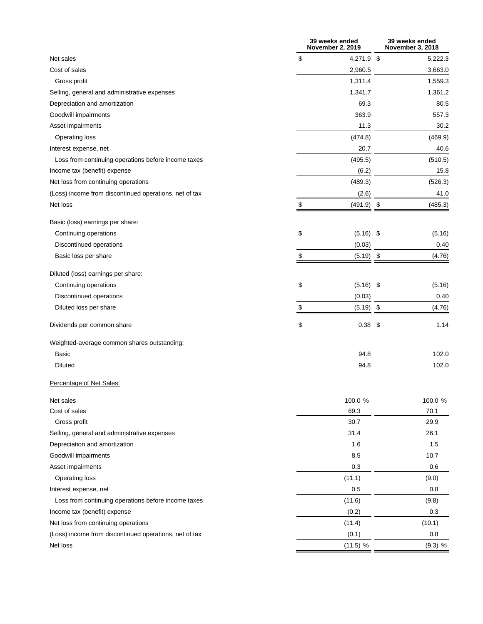|                                                        | 39 weeks ended<br><b>November 2, 2019</b> | 39 weeks ended<br><b>November 3, 2018</b> |  |  |
|--------------------------------------------------------|-------------------------------------------|-------------------------------------------|--|--|
| Net sales                                              | \$<br>4,271.9 \$                          | 5,222.3                                   |  |  |
| Cost of sales                                          | 2,960.5                                   | 3,663.0                                   |  |  |
| Gross profit                                           | 1,311.4                                   | 1,559.3                                   |  |  |
| Selling, general and administrative expenses           | 1,341.7                                   | 1,361.2                                   |  |  |
| Depreciation and amortization                          | 69.3                                      | 80.5                                      |  |  |
| Goodwill impairments                                   | 363.9                                     | 557.3                                     |  |  |
| Asset impairments                                      | 11.3                                      | 30.2                                      |  |  |
| Operating loss                                         | (474.8)                                   | (469.9)                                   |  |  |
| Interest expense, net                                  | 20.7                                      | 40.6                                      |  |  |
| Loss from continuing operations before income taxes    | (495.5)                                   | (510.5)                                   |  |  |
| Income tax (benefit) expense                           | (6.2)                                     | 15.8                                      |  |  |
| Net loss from continuing operations                    | (489.3)                                   | (526.3)                                   |  |  |
| (Loss) income from discontinued operations, net of tax | (2.6)                                     | 41.0                                      |  |  |
| Net loss                                               | \$<br>$(491.9)$ \$                        | (485.3)                                   |  |  |
| Basic (loss) earnings per share:                       |                                           |                                           |  |  |
| Continuing operations                                  | \$<br>$(5.16)$ \$                         | (5.16)                                    |  |  |
| Discontinued operations                                | (0.03)                                    | 0.40                                      |  |  |
| Basic loss per share                                   | \$<br>$(5.19)$ \$                         | (4.76)                                    |  |  |
| Diluted (loss) earnings per share:                     |                                           |                                           |  |  |
| Continuing operations                                  | \$<br>$(5.16)$ \$                         | (5.16)                                    |  |  |
| Discontinued operations                                | (0.03)                                    | 0.40                                      |  |  |
| Diluted loss per share                                 | \$<br>(5.19)                              | \$<br>(4.76)                              |  |  |
| Dividends per common share                             | \$<br>$0.38$ \$                           | 1.14                                      |  |  |
| Weighted-average common shares outstanding:            |                                           |                                           |  |  |
| <b>Basic</b>                                           | 94.8                                      | 102.0                                     |  |  |
| Diluted                                                | 94.8                                      | 102.0                                     |  |  |
| Percentage of Net Sales:                               |                                           |                                           |  |  |
| Net sales                                              | 100.0 %                                   | 100.0 %                                   |  |  |
| Cost of sales                                          | 69.3                                      | 70.1                                      |  |  |
| Gross profit                                           | 30.7                                      | 29.9                                      |  |  |
| Selling, general and administrative expenses           | 31.4                                      | 26.1                                      |  |  |
| Depreciation and amortization                          | 1.6                                       | 1.5                                       |  |  |
| Goodwill impairments                                   | 8.5                                       | 10.7                                      |  |  |
| Asset impairments                                      | 0.3                                       | 0.6                                       |  |  |
| Operating loss                                         | (11.1)                                    | (9.0)                                     |  |  |
| Interest expense, net                                  | 0.5                                       | 0.8                                       |  |  |
| Loss from continuing operations before income taxes    | (11.6)                                    | (9.8)                                     |  |  |
| Income tax (benefit) expense                           | (0.2)                                     | 0.3                                       |  |  |
| Net loss from continuing operations                    | (11.4)                                    | (10.1)                                    |  |  |
| (Loss) income from discontinued operations, net of tax | (0.1)                                     | 0.8                                       |  |  |
| Net loss                                               | (11.5) %                                  | $(9.3)$ %                                 |  |  |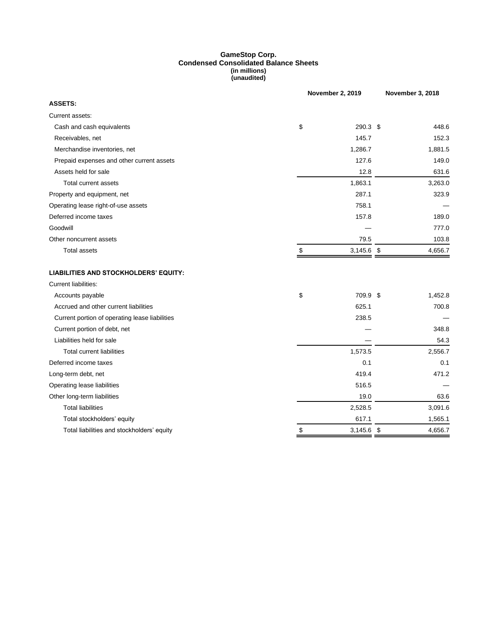#### **GameStop Corp. Condensed Consolidated Balance Sheets (in millions) (unaudited)**

|                                                | <b>November 2, 2019</b> |         |  |
|------------------------------------------------|-------------------------|---------|--|
| <b>ASSETS:</b>                                 |                         |         |  |
| Current assets:                                |                         |         |  |
| Cash and cash equivalents                      | \$<br>290.3 \$          | 448.6   |  |
| Receivables, net                               | 145.7                   | 152.3   |  |
| Merchandise inventories, net                   | 1,286.7                 | 1,881.5 |  |
| Prepaid expenses and other current assets      | 127.6                   | 149.0   |  |
| Assets held for sale                           | 12.8                    | 631.6   |  |
| <b>Total current assets</b>                    | 1,863.1                 | 3,263.0 |  |
| Property and equipment, net                    | 287.1                   | 323.9   |  |
| Operating lease right-of-use assets            | 758.1                   |         |  |
| Deferred income taxes                          | 157.8                   | 189.0   |  |
| Goodwill                                       |                         | 777.0   |  |
| Other noncurrent assets                        | 79.5                    | 103.8   |  |
| <b>Total assets</b>                            | $3,145.6$ \$<br>S       | 4,656.7 |  |
| LIABILITIES AND STOCKHOLDERS' EQUITY:          |                         |         |  |
| Current liabilities:                           |                         |         |  |
| Accounts payable                               | \$<br>709.9 \$          | 1,452.8 |  |
| Accrued and other current liabilities          | 625.1                   | 700.8   |  |
| Current portion of operating lease liabilities | 238.5                   |         |  |
| Current portion of debt, net                   |                         | 348.8   |  |
| Liabilities held for sale                      |                         | 54.3    |  |
| <b>Total current liabilities</b>               | 1,573.5                 | 2,556.7 |  |
| Deferred income taxes                          | 0.1                     | 0.1     |  |
| Long-term debt, net                            | 419.4                   | 471.2   |  |
| Operating lease liabilities                    | 516.5                   |         |  |
| Other long-term liabilities                    | 19.0                    | 63.6    |  |
| <b>Total liabilities</b>                       | 2,528.5                 | 3,091.6 |  |
| Total stockholders' equity                     | 617.1                   | 1,565.1 |  |
| Total liabilities and stockholders' equity     | \$<br>$3,145.6$ \$      | 4,656.7 |  |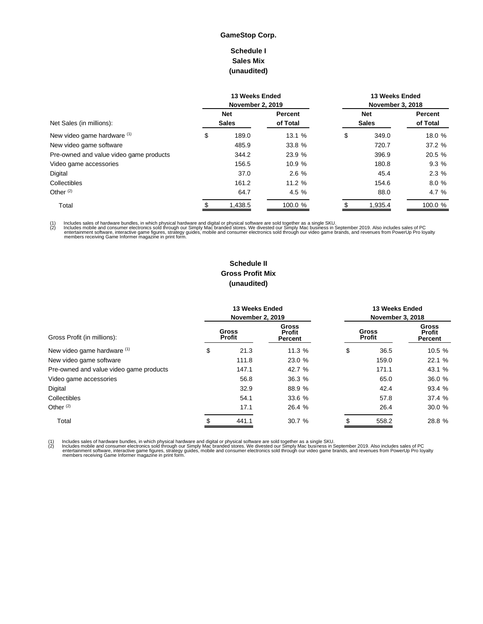#### **GameStop Corp.**

## **Schedule I Sales Mix (unaudited)**

| Net Sales (in millions):                |                     | 13 Weeks Ended<br><b>November 2, 2019</b> |                            |                            | 13 Weeks Ended<br><b>November 3, 2018</b> |                     |  |  |
|-----------------------------------------|---------------------|-------------------------------------------|----------------------------|----------------------------|-------------------------------------------|---------------------|--|--|
|                                         | Net<br><b>Sales</b> |                                           | <b>Percent</b><br>of Total | <b>Net</b><br><b>Sales</b> |                                           | Percent<br>of Total |  |  |
| New video game hardware (1)             | \$                  | 189.0                                     | 13.1 %                     | \$                         | 349.0                                     | 18.0 %              |  |  |
| New video game software                 |                     | 485.9                                     | 33.8 %                     |                            | 720.7                                     | 37.2 %              |  |  |
| Pre-owned and value video game products |                     | 344.2                                     | 23.9 %                     |                            | 396.9                                     | 20.5 %              |  |  |
| Video game accessories                  |                     | 156.5                                     | 10.9%                      |                            | 180.8                                     | 9.3%                |  |  |
| Digital                                 |                     | 37.0                                      | 2.6%                       |                            | 45.4                                      | 2.3%                |  |  |
| Collectibles                            |                     | 161.2                                     | 11.2%                      |                            | 154.6                                     | 8.0%                |  |  |
| Other $(2)$                             |                     | 64.7                                      | 4.5 %                      |                            | 88.0                                      | 4.7 %               |  |  |
| Total                                   |                     | 1,438.5                                   | 100.0 %                    |                            | 1,935.4                                   | 100.0 %             |  |  |

1) Includes sales of hardware bundles, in which physical hardware and digital or physical software are sold together as a single SKU.<br>(2) Includes mobile and consumer electronics sold through our Simply Mac branded stores.

## **Schedule II Gross Profit Mix (unaudited)**

|                                         | 13 Weeks Ended<br><b>November 2, 2019</b> |                               |                                   | 13 Weeks Ended<br><b>November 3, 2018</b> |                        |                                   |
|-----------------------------------------|-------------------------------------------|-------------------------------|-----------------------------------|-------------------------------------------|------------------------|-----------------------------------|
| Gross Profit (in millions):             |                                           | <b>Gross</b><br><b>Profit</b> | Gross<br><b>Profit</b><br>Percent |                                           | <b>Gross</b><br>Profit | Gross<br><b>Profit</b><br>Percent |
| New video game hardware (1)             | \$                                        | 21.3                          | 11.3%                             | \$                                        | 36.5                   | 10.5%                             |
| New video game software                 |                                           | 111.8                         | 23.0 %                            |                                           | 159.0                  | 22.1 %                            |
| Pre-owned and value video game products |                                           | 147.1                         | 42.7 %                            |                                           | 171.1                  | 43.1 %                            |
| Video game accessories                  |                                           | 56.8                          | 36.3 %                            |                                           | 65.0                   | 36.0 %                            |
| Digital                                 |                                           | 32.9                          | 88.9 %                            |                                           | 42.4                   | 93.4 %                            |
| Collectibles                            |                                           | 54.1                          | 33.6 %                            |                                           | 57.8                   | 37.4 %                            |
| Other $(2)$                             |                                           | 17.1                          | 26.4 %                            |                                           | 26.4                   | 30.0%                             |
| Total                                   |                                           | 441.1                         | 30.7 %                            |                                           | 558.2                  | 28.8 %                            |

1) Includes sales of hardware bundles, in which physical hardware and digital or physical software are sold together as a single SKU.<br>(2) Includes mobile and consumer electronics sold through our Simply Mac branded stores.